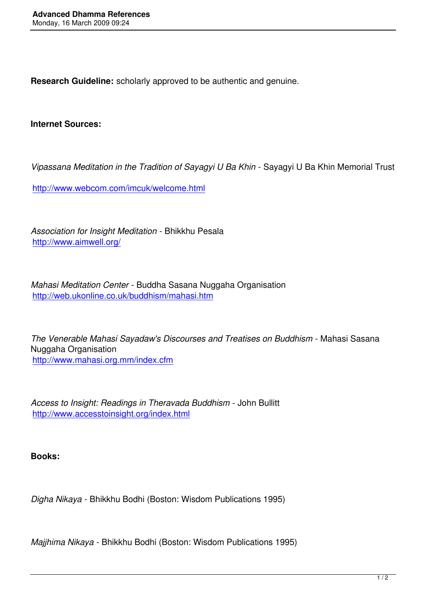**Research Guideline:** scholarly approved to be authentic and genuine.

**Internet Sources:**

*Vipassana Meditation in the Tradition of Sayagyi U Ba Khin* - Sayagyi U Ba Khin Memorial Trust

http://www.webcom.com/imcuk/welcome.html

*[Association for Insight Meditation](http://www.webcom.com/imcuk/welcome.html)* - Bhikkhu Pesala http://www.aimwell.org/

*[Mahasi Meditation Cente](http://www.aimwell.org/)r* - Buddha Sasana Nuggaha Organisation http://web.ukonline.co.uk/buddhism/mahasi.htm

*[The Venerable Mahasi Sayadaw's Discourses an](http://web.ukonline.co.uk/buddhism/mahasi.htm)d Treatises on Buddhism* - Mahasi Sasana Nuggaha Organisation http://www.mahasi.org.mm/index.cfm

*[Access to Insight: Readings in Therav](http://www.mahasi.org.mm/index.cfm)ada Buddhism* - John Bullitt http://www.accesstoinsight.org/index.html

**[Books:](http://www.accesstoinsight.org/index.html)**

*Digha Nikaya* - Bhikkhu Bodhi (Boston: Wisdom Publications 1995)

*Majjhima Nikaya* - Bhikkhu Bodhi (Boston: Wisdom Publications 1995)